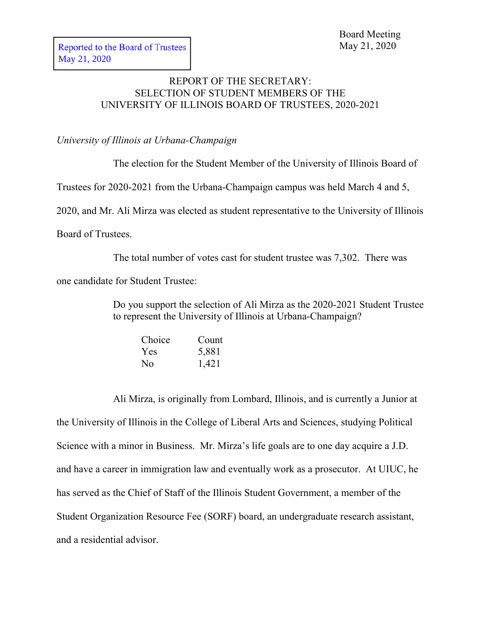## REPORT OF THE SECRETARY: SELECTION OF STUDENT MEMBERS OF THE UNIVERSITY OF ILLINOIS BOARD OF TRUSTEES, 2020-2021

*University of Illinois at Urbana-Champaign*

The election for the Student Member of the University of Illinois Board of Trustees for 2020-2021 from the Urbana-Champaign campus was held March 4 and 5, 2020, and Mr. Ali Mirza was elected as student representative to the University of Illinois Board of Trustees.

The total number of votes cast for student trustee was 7,302. There was one candidate for Student Trustee:

> Do you support the selection of Ali Mirza as the 2020-2021 Student Trustee to represent the University of Illinois at Urbana-Champaign?

| Choice | Count |
|--------|-------|
| Yes    | 5,881 |
| No     | 1,421 |

Ali Mirza, is originally from Lombard, Illinois, and is currently a Junior at the University of Illinois in the College of Liberal Arts and Sciences, studying Political Science with a minor in Business. Mr. Mirza's life goals are to one day acquire a J.D. and have a career in immigration law and eventually work as a prosecutor. At UIUC, he has served as the Chief of Staff of the Illinois Student Government, a member of the Student Organization Resource Fee (SORF) board, an undergraduate research assistant, and a residential advisor.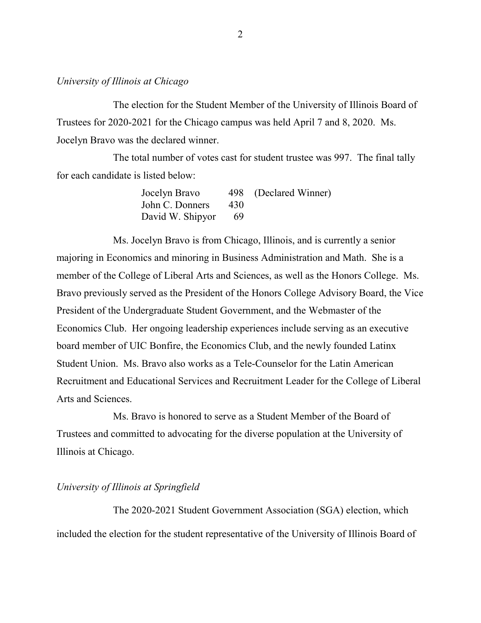## *University of Illinois at Chicago*

The election for the Student Member of the University of Illinois Board of Trustees for 2020-2021 for the Chicago campus was held April 7 and 8, 2020. Ms. Jocelyn Bravo was the declared winner.

The total number of votes cast for student trustee was 997. The final tally for each candidate is listed below:

| Jocelyn Bravo    |     | 498 (Declared Winner) |
|------------------|-----|-----------------------|
| John C. Donners  | 430 |                       |
| David W. Shipyor | -69 |                       |

Ms. Jocelyn Bravo is from Chicago, Illinois, and is currently a senior majoring in Economics and minoring in Business Administration and Math. She is a member of the College of Liberal Arts and Sciences, as well as the Honors College. Ms. Bravo previously served as the President of the Honors College Advisory Board, the Vice President of the Undergraduate Student Government, and the Webmaster of the Economics Club. Her ongoing leadership experiences include serving as an executive board member of UIC Bonfire, the Economics Club, and the newly founded Latinx Student Union. Ms. Bravo also works as a Tele-Counselor for the Latin American Recruitment and Educational Services and Recruitment Leader for the College of Liberal Arts and Sciences.

Ms. Bravo is honored to serve as a Student Member of the Board of Trustees and committed to advocating for the diverse population at the University of Illinois at Chicago.

## *University of Illinois at Springfield*

The 2020-2021 Student Government Association (SGA) election, which included the election for the student representative of the University of Illinois Board of